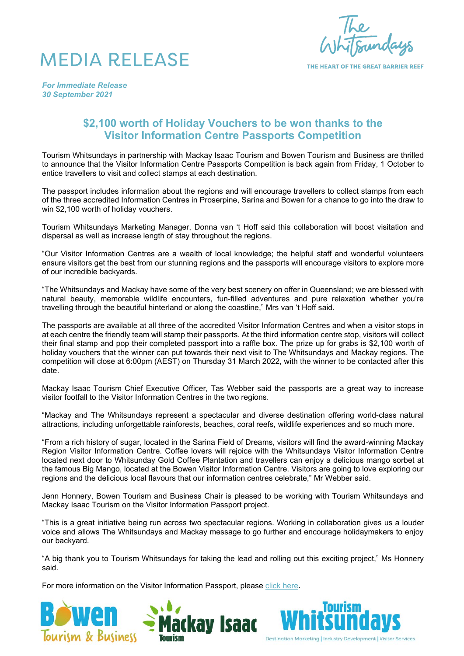



THE HEART OF THE GREAT RADDIED REFE

*For Immediate Release 30 September 2021*

## **\$2,100 worth of Holiday Vouchers to be won thanks to the Visitor Information Centre Passports Competition**

Tourism Whitsundays in partnership with Mackay Isaac Tourism and Bowen Tourism and Business are thrilled to announce that the Visitor Information Centre Passports Competition is back again from Friday, 1 October to entice travellers to visit and collect stamps at each destination.

The passport includes information about the regions and will encourage travellers to collect stamps from each of the three accredited Information Centres in Proserpine, Sarina and Bowen for a chance to go into the draw to win \$2,100 worth of holiday vouchers.

Tourism Whitsundays Marketing Manager, Donna van 't Hoff said this collaboration will boost visitation and dispersal as well as increase length of stay throughout the regions.

"Our Visitor Information Centres are a wealth of local knowledge; the helpful staff and wonderful volunteers ensure visitors get the best from our stunning regions and the passports will encourage visitors to explore more of our incredible backyards.

"The Whitsundays and Mackay have some of the very best scenery on offer in Queensland; we are blessed with natural beauty, memorable wildlife encounters, fun-filled adventures and pure relaxation whether you're travelling through the beautiful hinterland or along the coastline," Mrs van 't Hoff said.

The passports are available at all three of the accredited Visitor Information Centres and when a visitor stops in at each centre the friendly team will stamp their passports. At the third information centre stop, visitors will collect their final stamp and pop their completed passport into a raffle box. The prize up for grabs is \$2,100 worth of holiday vouchers that the winner can put towards their next visit to The Whitsundays and Mackay regions. The competition will close at 6:00pm (AEST) on Thursday 31 March 2022, with the winner to be contacted after this date.

Mackay Isaac Tourism Chief Executive Officer, Tas Webber said the passports are a great way to increase visitor footfall to the Visitor Information Centres in the two regions.

"Mackay and The Whitsundays represent a spectacular and diverse destination offering world-class natural attractions, including unforgettable rainforests, beaches, coral reefs, wildlife experiences and so much more.

"From a rich history of sugar, located in the Sarina Field of Dreams, visitors will find the award-winning Mackay Region Visitor Information Centre. Coffee lovers will rejoice with the Whitsundays Visitor Information Centre located next door to Whitsunday Gold Coffee Plantation and travellers can enjoy a delicious mango sorbet at the famous Big Mango, located at the Bowen Visitor Information Centre. Visitors are going to love exploring our regions and the delicious local flavours that our information centres celebrate," Mr Webber said.

Jenn Honnery, Bowen Tourism and Business Chair is pleased to be working with Tourism Whitsundays and Mackay Isaac Tourism on the Visitor Information Passport project.

"This is a great initiative being run across two spectacular regions. Working in collaboration gives us a louder voice and allows The Whitsundays and Mackay message to go further and encourage holidaymakers to enjoy our backyard.

"A big thank you to Tourism Whitsundays for taking the lead and rolling out this exciting project," Ms Honnery said.

For more information on the Visitor Information Passport, please [click here.](https://www.tourismwhitsundays.com.au/passport/)